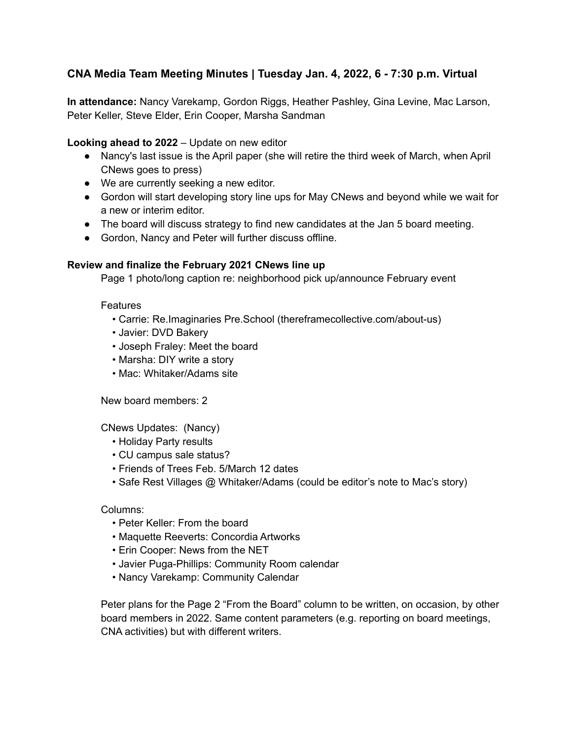# **CNA Media Team Meeting Minutes | Tuesday Jan. 4, 2022, 6 - 7:30 p.m. Virtual**

**In attendance:** Nancy Varekamp, Gordon Riggs, Heather Pashley, Gina Levine, Mac Larson, Peter Keller, Steve Elder, Erin Cooper, Marsha Sandman

# **Looking ahead to 2022** – Update on new editor

- Nancy's last issue is the April paper (she will retire the third week of March, when April CNews goes to press)
- We are currently seeking a new editor.
- Gordon will start developing story line ups for May CNews and beyond while we wait for a new or interim editor.
- The board will discuss strategy to find new candidates at the Jan 5 board meeting.
- Gordon, Nancy and Peter will further discuss offline.

# **Review and finalize the February 2021 CNews line up**

Page 1 photo/long caption re: neighborhood pick up/announce February event

## Features

- Carrie: Re.Imaginaries Pre.School (thereframecollective.com/about-us)
- Javier: DVD Bakery
- Joseph Fraley: Meet the board
- Marsha: DIY write a story
- Mac: Whitaker/Adams site

New board members: 2

CNews Updates: (Nancy)

- Holiday Party results
- CU campus sale status?
- Friends of Trees Feb. 5/March 12 dates
- Safe Rest Villages @ Whitaker/Adams (could be editor's note to Mac's story)

### Columns:

- Peter Keller: From the board
- Maquette Reeverts: Concordia Artworks
- Erin Cooper: News from the NET
- Javier Puga-Phillips: Community Room calendar
- Nancy Varekamp: Community Calendar

Peter plans for the Page 2 "From the Board" column to be written, on occasion, by other board members in 2022. Same content parameters (e.g. reporting on board meetings, CNA activities) but with different writers.